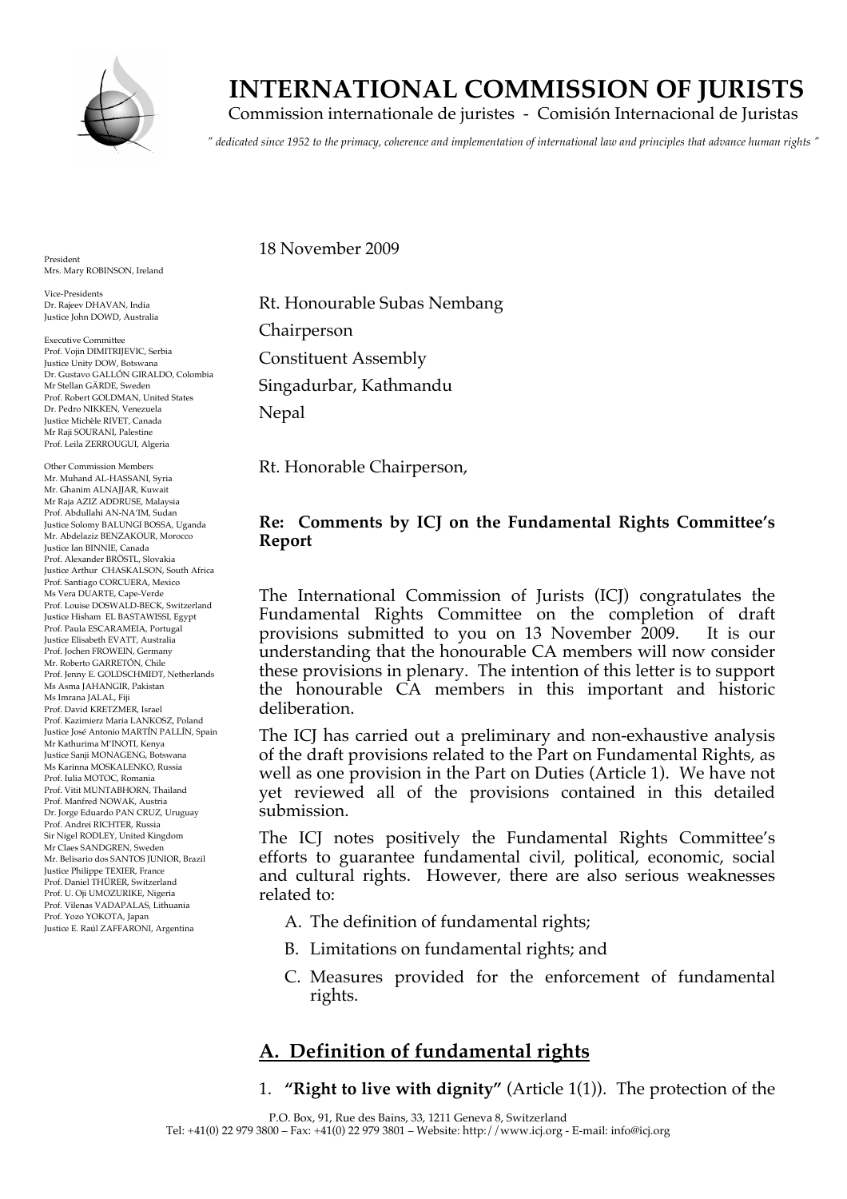

# **INTERNATIONAL COMMISSION OF JURISTS**

Commission internationale de juristes - Comisión Internacional de Juristas

*" dedicated since 1952 to the primacy, coherence and implementation of international law and principles that advance human rights "*

President Mrs. Mary ROBINSON, Ireland

Vice-Presidents Dr. Rajeev DHAVAN, India Justice John DOWD, Australia

Executive Committee Prof. Vojin DIMITRIJEVIC, Serbia Justice Unity DOW, Botswana Dr. Gustavo GALLÓN GIRALDO, Colombia Mr Stellan GÄRDE, Sweden Prof. Robert GOLDMAN, United States Dr. Pedro NIKKEN, Venezuela Justice Michèle RIVET, Canada Mr Raji SOURANI, Palestine Prof. Leila ZERROUGUI, Algeria

Other Commission Members Mr. Muhand AL-HASSANI, Syria Mr. Ghanim ALNAJJAR, Kuwait Mr Raja AZIZ ADDRUSE, Malaysia Prof. Abdullahi AN-NA'IM, Sudan Justice Solomy BALUNGI BOSSA, Uganda Mr. Abdelaziz BENZAKOUR, Morocco Justice Ian BINNIE, Canada Prof. Alexander BRÖSTL, Slovakia Justice Arthur CHASKALSON, South Africa Prof. Santiago CORCUERA, Mexico Ms Vera DUARTE, Cape-Verde Prof. Louise DOSWALD-BECK, Switzerland Justice Hisham EL BASTAWISSI, Egypt Prof. Paula ESCARAMEIA, Portugal Justice Elisabeth EVATT, Australia Prof. Jochen FROWEIN, Germany Mr. Roberto GARRETÓN, Chile Prof. Jenny E. GOLDSCHMIDT, Netherlands Ms Asma JAHANGIR, Pakistan Ms Imrana JALAL, Fiji Prof. David KRETZMER, Israel Prof. Kazimierz Maria LANKOSZ, Poland Justice José Antonio MARTÍN PALLÍN, Spain Mr Kathurima M'INOTI, Kenya Justice Sanji MONAGENG, Botswana Ms Karinna MOSKALENKO, Russia Prof. Iulia MOTOC, Romania Prof. Vitit MUNTABHORN, Thailand Prof. Manfred NOWAK, Austria Dr. Jorge Eduardo PAN CRUZ, Uruguay Prof. Andrei RICHTER, Russia Sir Nigel RODLEY, United Kingdom Mr Claes SANDGREN, Sweden Mr. Belisario dos SANTOS JUNIOR, Brazil Justice Philippe TEXIER, France Prof. Daniel THÜRER, Switzerland Prof. U. Oji UMOZURIKE, Nigeria Prof. Vilenas VADAPALAS, Lithuania Prof. Yozo YOKOTA, Japan Justice E. Raúl ZAFFARONI, Argentina

18 November 2009

Rt. Honourable Subas Nembang Chairperson Constituent Assembly Singadurbar, Kathmandu Nepal

Rt. Honorable Chairperson,

#### **Re: Comments by ICJ on the Fundamental Rights Committee's Report**

The International Commission of Jurists (ICJ) congratulates the Fundamental Rights Committee on the completion of draft provisions submitted to you on 13 November 2009. It is our understanding that the honourable CA members will now consider these provisions in plenary. The intention of this letter is to support the honourable CA members in this important and historic deliberation.

The ICJ has carried out a preliminary and non-exhaustive analysis of the draft provisions related to the Part on Fundamental Rights, as well as one provision in the Part on Duties (Article 1). We have not yet reviewed all of the provisions contained in this detailed submission.

The ICJ notes positively the Fundamental Rights Committee's efforts to guarantee fundamental civil, political, economic, social and cultural rights. However, there are also serious weaknesses related to:

- A. The definition of fundamental rights;
- B. Limitations on fundamental rights; and
- C. Measures provided for the enforcement of fundamental rights.

## **A. Definition of fundamental rights**

1. **"Right to live with dignity"** (Article 1(1)). The protection of the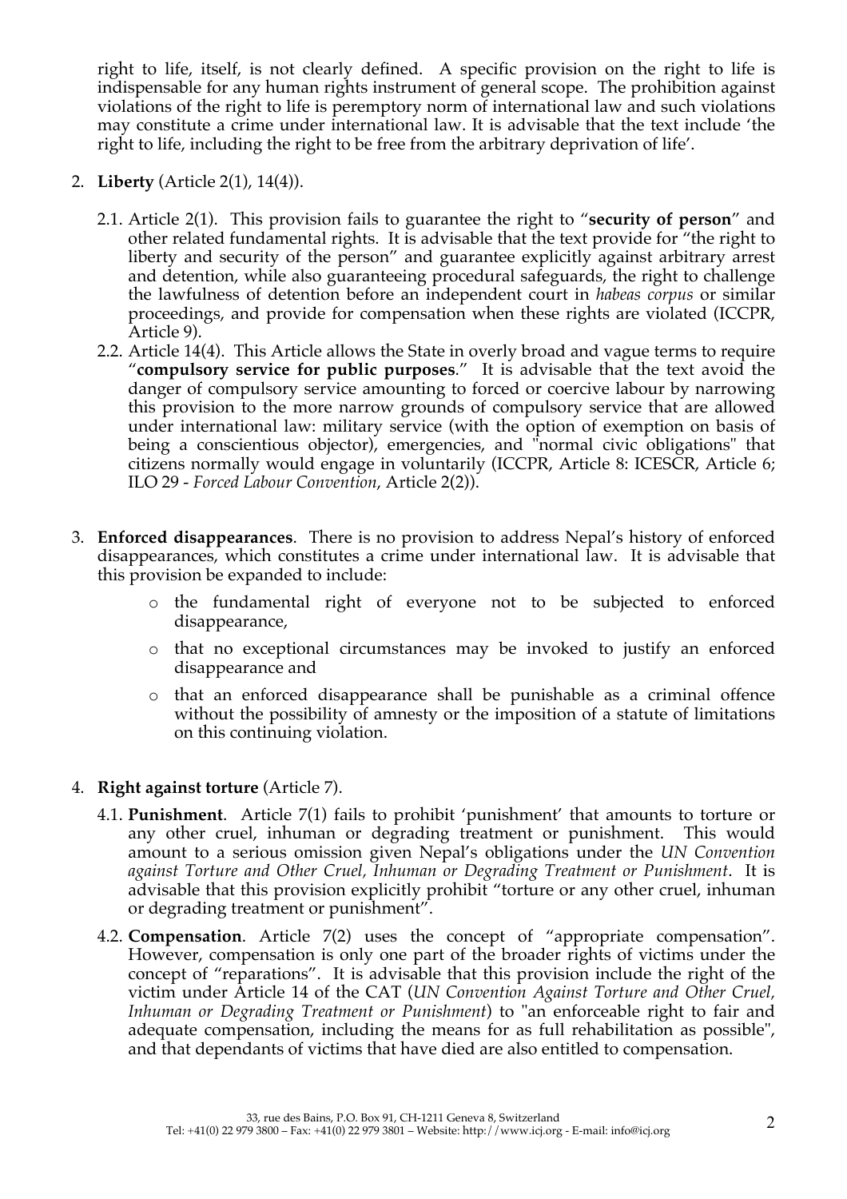right to life, itself, is not clearly defined. A specific provision on the right to life is indispensable for any human rights instrument of general scope. The prohibition against violations of the right to life is peremptory norm of international law and such violations may constitute a crime under international law. It is advisable that the text include 'the right to life, including the right to be free from the arbitrary deprivation of life'.

- 2. **Liberty** (Article 2(1), 14(4)).
	- 2.1. Article 2(1). This provision fails to guarantee the right to "**security of person**" and other related fundamental rights. It is advisable that the text provide for "the right to liberty and security of the person" and guarantee explicitly against arbitrary arrest and detention, while also guaranteeing procedural safeguards, the right to challenge the lawfulness of detention before an independent court in *habeas corpus* or similar proceedings, and provide for compensation when these rights are violated (ICCPR, Article 9).
	- 2.2. Article 14(4). This Article allows the State in overly broad and vague terms to require "**compulsory service for public purposes**." It is advisable that the text avoid the danger of compulsory service amounting to forced or coercive labour by narrowing this provision to the more narrow grounds of compulsory service that are allowed under international law: military service (with the option of exemption on basis of being a conscientious objector), emergencies, and "normal civic obligations" that citizens normally would engage in voluntarily (ICCPR, Article 8: ICESCR, Article 6; ILO 29 - *Forced Labour Convention*, Article 2(2)).
- 3. **Enforced disappearances**. There is no provision to address Nepal's history of enforced disappearances, which constitutes a crime under international law. It is advisable that this provision be expanded to include:
	- o the fundamental right of everyone not to be subjected to enforced disappearance,
	- o that no exceptional circumstances may be invoked to justify an enforced disappearance and
	- o that an enforced disappearance shall be punishable as a criminal offence without the possibility of amnesty or the imposition of a statute of limitations on this continuing violation.
- 4. **Right against torture** (Article 7).
	- 4.1. **Punishment**. Article 7(1) fails to prohibit 'punishment' that amounts to torture or any other cruel, inhuman or degrading treatment or punishment. This would amount to a serious omission given Nepal's obligations under the *UN Convention against Torture and Other Cruel, Inhuman or Degrading Treatment or Punishment*. It is advisable that this provision explicitly prohibit "torture or any other cruel, inhuman or degrading treatment or punishment".
	- 4.2. **Compensation**. Article 7(2) uses the concept of "appropriate compensation". However, compensation is only one part of the broader rights of victims under the concept of "reparations". It is advisable that this provision include the right of the victim under Article 14 of the CAT (*UN Convention Against Torture and Other Cruel, Inhuman or Degrading Treatment or Punishment*) to "an enforceable right to fair and adequate compensation, including the means for as full rehabilitation as possible", and that dependants of victims that have died are also entitled to compensation.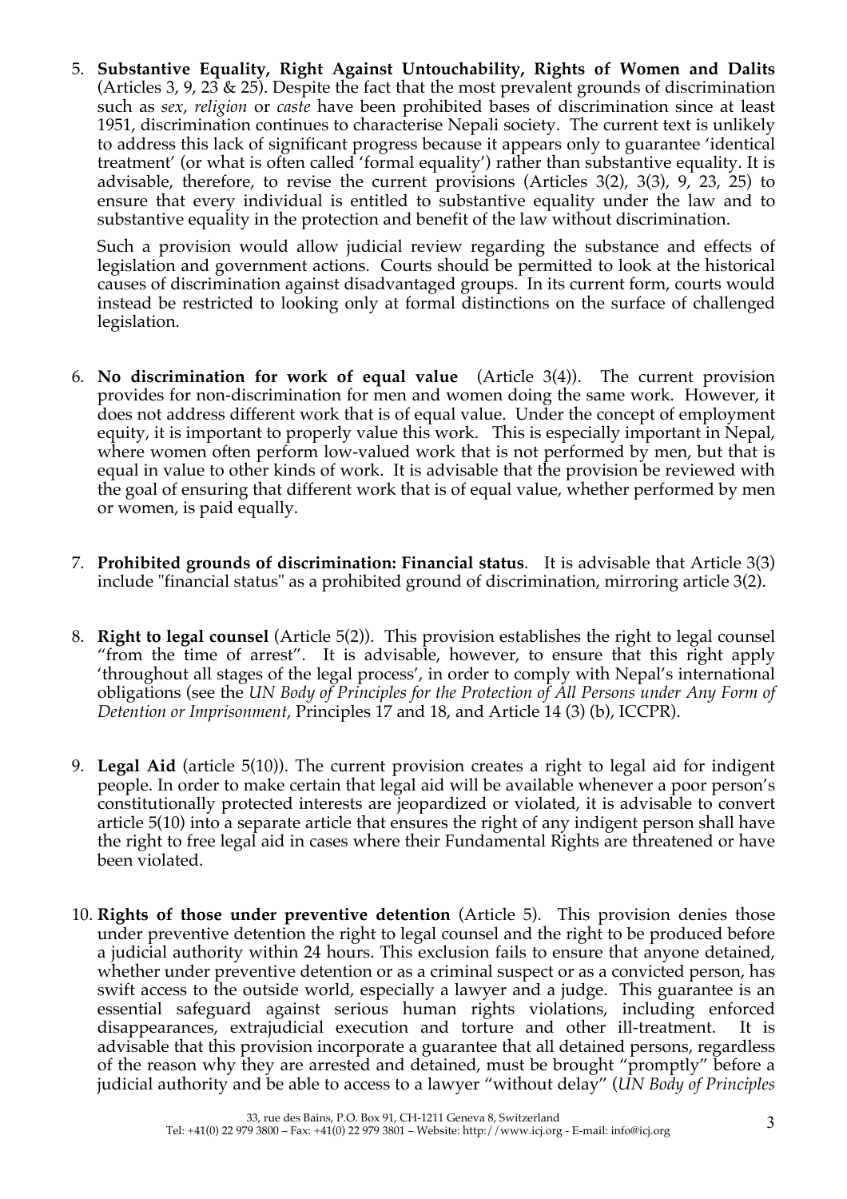5. **Substantive Equality, Right Against Untouchability, Rights of Women and Dalits** (Articles 3, 9, 23 & 25). Despite the fact that the most prevalent grounds of discrimination such as *sex*, *religion* or *caste* have been prohibited bases of discrimination since at least 1951, discrimination continues to characterise Nepali society. The current text is unlikely to address this lack of significant progress because it appears only to guarantee 'identical treatment' (or what is often called 'formal equality') rather than substantive equality. It is advisable, therefore, to revise the current provisions (Articles 3(2), 3(3), 9, 23, 25) to ensure that every individual is entitled to substantive equality under the law and to substantive equality in the protection and benefit of the law without discrimination.

Such a provision would allow judicial review regarding the substance and effects of legislation and government actions. Courts should be permitted to look at the historical causes of discrimination against disadvantaged groups. In its current form, courts would instead be restricted to looking only at formal distinctions on the surface of challenged legislation.

- 6. **No discrimination for work of equal value** (Article 3(4)). The current provision provides for non-discrimination for men and women doing the same work. However, it does not address different work that is of equal value. Under the concept of employment equity, it is important to properly value this work. This is especially important in Nepal, where women often perform low-valued work that is not performed by men, but that is equal in value to other kinds of work. It is advisable that the provision be reviewed with the goal of ensuring that different work that is of equal value, whether performed by men or women, is paid equally.
- 7. **Prohibited grounds of discrimination: Financial status**. It is advisable that Article 3(3) include "financial status" as a prohibited ground of discrimination, mirroring article 3(2).
- 8. **Right to legal counsel** (Article 5(2)). This provision establishes the right to legal counsel "from the time of arrest". It is advisable, however, to ensure that this right apply 'throughout all stages of the legal process', in order to comply with Nepal's international obligations (see the *UN Body of Principles for the Protection of All Persons under Any Form of Detention or Imprisonment*, Principles 17 and 18, and Article 14 (3) (b), ICCPR).
- 9. **Legal Aid** (article 5(10)). The current provision creates a right to legal aid for indigent people. In order to make certain that legal aid will be available whenever a poor person's constitutionally protected interests are jeopardized or violated, it is advisable to convert article 5(10) into a separate article that ensures the right of any indigent person shall have the right to free legal aid in cases where their Fundamental Rights are threatened or have been violated.
- 10. **Rights of those under preventive detention** (Article 5). This provision denies those under preventive detention the right to legal counsel and the right to be produced before a judicial authority within 24 hours. This exclusion fails to ensure that anyone detained, whether under preventive detention or as a criminal suspect or as a convicted person, has swift access to the outside world, especially a lawyer and a judge. This guarantee is an essential safeguard against serious human rights violations, including enforced disappearances, extrajudicial execution and torture and other ill-treatment. It is advisable that this provision incorporate a guarantee that all detained persons, regardless of the reason why they are arrested and detained, must be brought "promptly" before a judicial authority and be able to access to a lawyer "without delay" (*UN Body of Principles*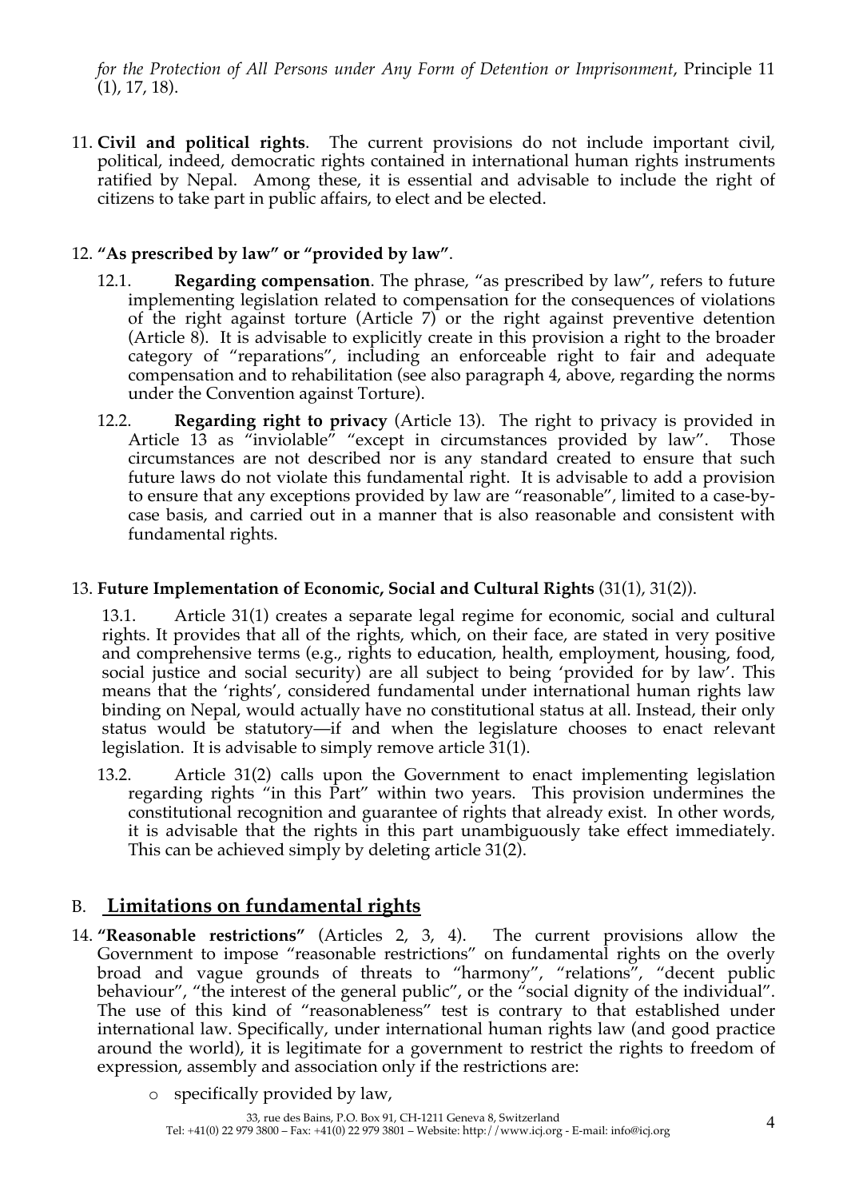*for the Protection of All Persons under Any Form of Detention or Imprisonment*, Principle 11 (1), 17, 18).

11. **Civil and political rights**. The current provisions do not include important civil, political, indeed, democratic rights contained in international human rights instruments ratified by Nepal. Among these, it is essential and advisable to include the right of citizens to take part in public affairs, to elect and be elected.

### 12. **"As prescribed by law" or "provided by law"**.

- 12.1. **Regarding compensation**. The phrase, "as prescribed by law", refers to future implementing legislation related to compensation for the consequences of violations of the right against torture (Article 7) or the right against preventive detention (Article 8). It is advisable to explicitly create in this provision a right to the broader category of "reparations", including an enforceable right to fair and adequate compensation and to rehabilitation (see also paragraph 4, above, regarding the norms under the Convention against Torture).
- 12.2. **Regarding right to privacy** (Article 13). The right to privacy is provided in Article 13 as "inviolable" "except in circumstances provided by law". Those circumstances are not described nor is any standard created to ensure that such future laws do not violate this fundamental right. It is advisable to add a provision to ensure that any exceptions provided by law are "reasonable", limited to a case-bycase basis, and carried out in a manner that is also reasonable and consistent with fundamental rights.

#### 13. **Future Implementation of Economic, Social and Cultural Rights** (31(1), 31(2)).

13.1. Article 31(1) creates a separate legal regime for economic, social and cultural rights. It provides that all of the rights, which, on their face, are stated in very positive and comprehensive terms (e.g., rights to education, health, employment, housing, food, social justice and social security) are all subject to being 'provided for by law'. This means that the 'rights', considered fundamental under international human rights law binding on Nepal, would actually have no constitutional status at all. Instead, their only status would be statutory—if and when the legislature chooses to enact relevant legislation. It is advisable to simply remove article 31(1).

13.2. Article 31(2) calls upon the Government to enact implementing legislation regarding rights "in this Part" within two years. This provision undermines the constitutional recognition and guarantee of rights that already exist. In other words, it is advisable that the rights in this part unambiguously take effect immediately. This can be achieved simply by deleting article 31(2).

## B. **Limitations on fundamental rights**

- 14. **"Reasonable restrictions"** (Articles 2, 3, 4). The current provisions allow the Government to impose "reasonable restrictions" on fundamental rights on the overly broad and vague grounds of threats to "harmony", "relations", "decent public behaviour", "the interest of the general public", or the "social dignity of the individual". The use of this kind of "reasonableness" test is contrary to that established under international law. Specifically, under international human rights law (and good practice around the world), it is legitimate for a government to restrict the rights to freedom of expression, assembly and association only if the restrictions are:
	- o specifically provided by law,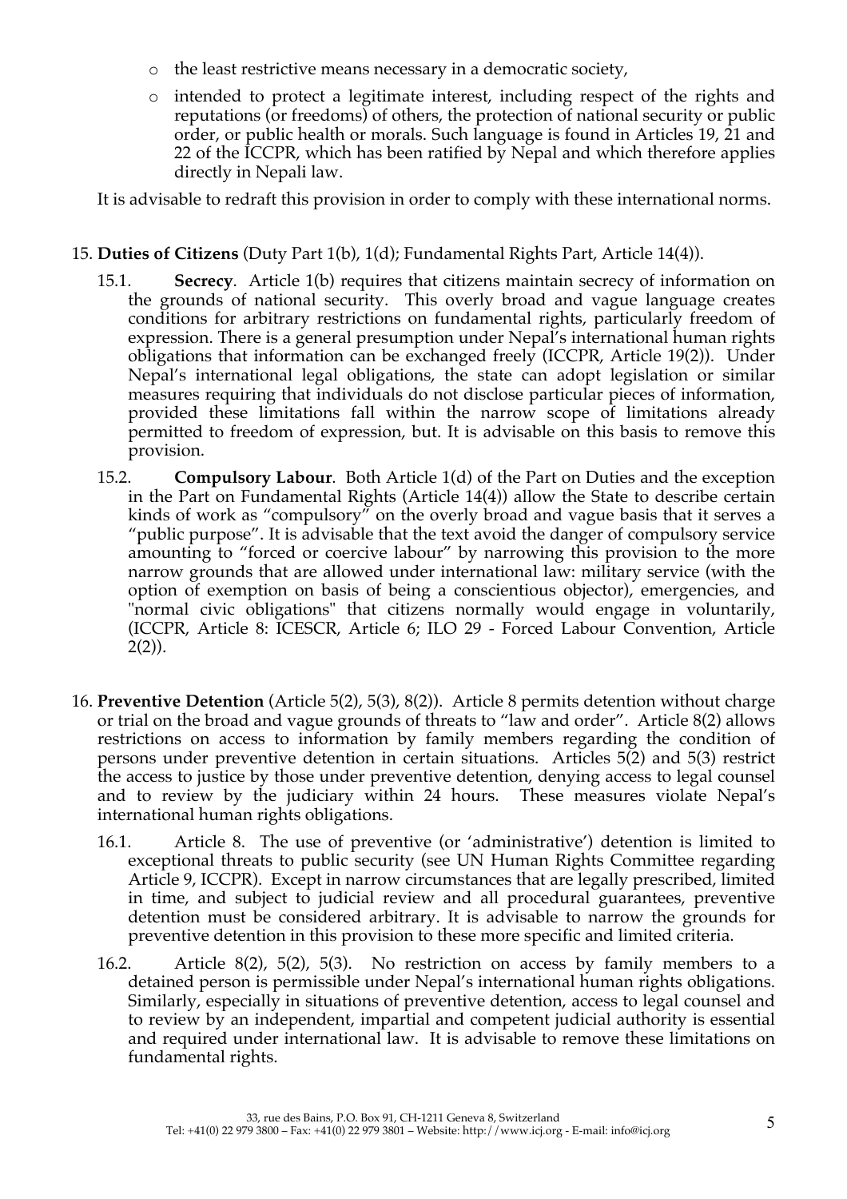- o the least restrictive means necessary in a democratic society,
- o intended to protect a legitimate interest, including respect of the rights and reputations (or freedoms) of others, the protection of national security or public order, or public health or morals. Such language is found in Articles 19, 21 and 22 of the ICCPR, which has been ratified by Nepal and which therefore applies directly in Nepali law.

It is advisable to redraft this provision in order to comply with these international norms.

#### 15. **Duties of Citizens** (Duty Part 1(b), 1(d); Fundamental Rights Part, Article 14(4)).

- 15.1. **Secrecy**. Article 1(b) requires that citizens maintain secrecy of information on the grounds of national security. This overly broad and vague language creates conditions for arbitrary restrictions on fundamental rights, particularly freedom of expression. There is a general presumption under Nepal's international human rights obligations that information can be exchanged freely (ICCPR, Article 19(2)). Under Nepal's international legal obligations, the state can adopt legislation or similar measures requiring that individuals do not disclose particular pieces of information, provided these limitations fall within the narrow scope of limitations already permitted to freedom of expression, but. It is advisable on this basis to remove this provision.
- 15.2. **Compulsory Labour**. Both Article 1(d) of the Part on Duties and the exception in the Part on Fundamental Rights (Article 14(4)) allow the State to describe certain kinds of work as "compulsory" on the overly broad and vague basis that it serves a "public purpose". It is advisable that the text avoid the danger of compulsory service amounting to "forced or coercive labour" by narrowing this provision to the more narrow grounds that are allowed under international law: military service (with the option of exemption on basis of being a conscientious objector), emergencies, and "normal civic obligations" that citizens normally would engage in voluntarily, (ICCPR, Article 8: ICESCR, Article 6; ILO 29 - Forced Labour Convention, Article 2(2)).
- 16. **Preventive Detention** (Article 5(2), 5(3), 8(2)). Article 8 permits detention without charge or trial on the broad and vague grounds of threats to "law and order". Article 8(2) allows restrictions on access to information by family members regarding the condition of persons under preventive detention in certain situations. Articles 5(2) and 5(3) restrict the access to justice by those under preventive detention, denying access to legal counsel and to review by the judiciary within 24 hours. These measures violate Nepal's international human rights obligations.
	- 16.1. Article 8. The use of preventive (or 'administrative') detention is limited to exceptional threats to public security (see UN Human Rights Committee regarding Article 9, ICCPR). Except in narrow circumstances that are legally prescribed, limited in time, and subject to judicial review and all procedural guarantees, preventive detention must be considered arbitrary. It is advisable to narrow the grounds for preventive detention in this provision to these more specific and limited criteria.
	- 16.2. Article 8(2), 5(2), 5(3). No restriction on access by family members to a detained person is permissible under Nepal's international human rights obligations. Similarly, especially in situations of preventive detention, access to legal counsel and to review by an independent, impartial and competent judicial authority is essential and required under international law. It is advisable to remove these limitations on fundamental rights.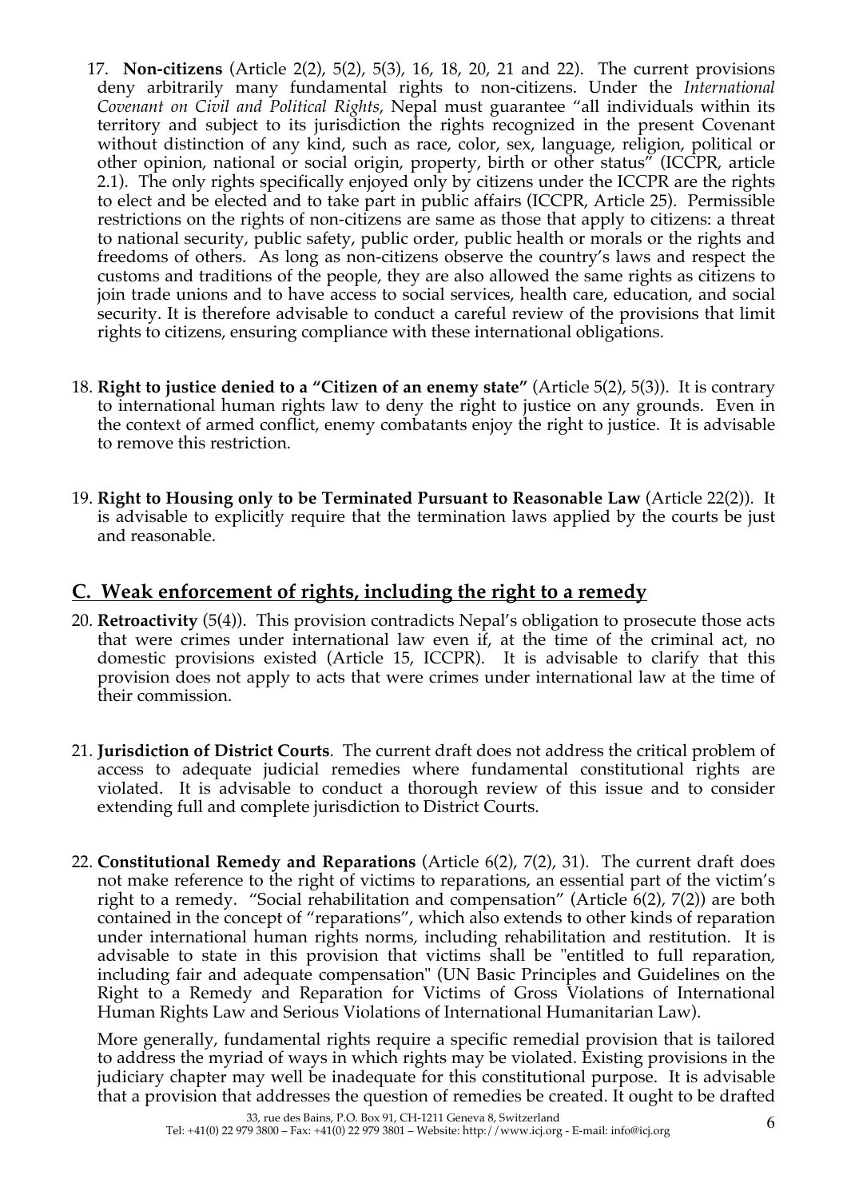- 17. **Non-citizens** (Article 2(2), 5(2), 5(3), 16, 18, 20, 21 and 22). The current provisions deny arbitrarily many fundamental rights to non-citizens. Under the *International Covenant on Civil and Political Rights*, Nepal must guarantee "all individuals within its territory and subject to its jurisdiction the rights recognized in the present Covenant without distinction of any kind, such as race, color, sex, language, religion, political or other opinion, national or social origin, property, birth or other status" (ICCPR, article 2.1). The only rights specifically enjoyed only by citizens under the ICCPR are the rights to elect and be elected and to take part in public affairs (ICCPR, Article 25). Permissible restrictions on the rights of non-citizens are same as those that apply to citizens: a threat to national security, public safety, public order, public health or morals or the rights and freedoms of others. As long as non-citizens observe the country's laws and respect the customs and traditions of the people, they are also allowed the same rights as citizens to join trade unions and to have access to social services, health care, education, and social security. It is therefore advisable to conduct a careful review of the provisions that limit rights to citizens, ensuring compliance with these international obligations.
- 18. **Right to justice denied to a "Citizen of an enemy state"** (Article 5(2), 5(3)). It is contrary to international human rights law to deny the right to justice on any grounds. Even in the context of armed conflict, enemy combatants enjoy the right to justice. It is advisable to remove this restriction.
- 19. **Right to Housing only to be Terminated Pursuant to Reasonable Law** (Article 22(2)). It is advisable to explicitly require that the termination laws applied by the courts be just and reasonable.

## **C. Weak enforcement of rights, including the right to a remedy**

- 20. **Retroactivity** (5(4)). This provision contradicts Nepal's obligation to prosecute those acts that were crimes under international law even if, at the time of the criminal act, no domestic provisions existed (Article 15, ICCPR). It is advisable to clarify that this provision does not apply to acts that were crimes under international law at the time of their commission.
- 21. **Jurisdiction of District Courts**. The current draft does not address the critical problem of access to adequate judicial remedies where fundamental constitutional rights are violated. It is advisable to conduct a thorough review of this issue and to consider extending full and complete jurisdiction to District Courts.
- 22. **Constitutional Remedy and Reparations** (Article 6(2), 7(2), 31). The current draft does not make reference to the right of victims to reparations, an essential part of the victim's right to a remedy. "Social rehabilitation and compensation" (Article 6(2), 7(2)) are both contained in the concept of "reparations", which also extends to other kinds of reparation under international human rights norms, including rehabilitation and restitution. It is advisable to state in this provision that victims shall be "entitled to full reparation, including fair and adequate compensation" (UN Basic Principles and Guidelines on the Right to a Remedy and Reparation for Victims of Gross Violations of International Human Rights Law and Serious Violations of International Humanitarian Law).

More generally, fundamental rights require a specific remedial provision that is tailored to address the myriad of ways in which rights may be violated. Existing provisions in the judiciary chapter may well be inadequate for this constitutional purpose. It is advisable that a provision that addresses the question of remedies be created. It ought to be drafted